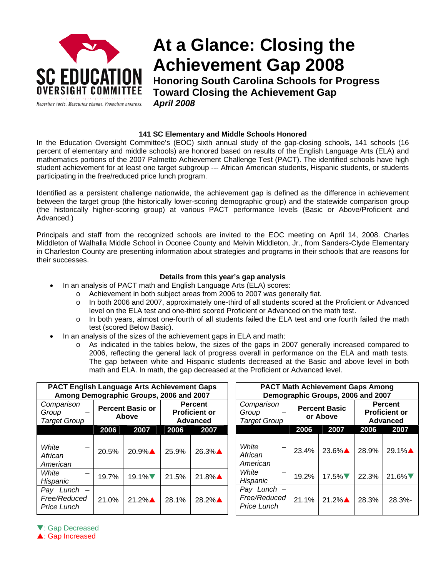

# **At a Glance: Closing the Achievement Gap 2008**

**Honoring South Carolina Schools for Progress Toward Closing the Achievement Gap**  *April 2008* 

### **141 SC Elementary and Middle Schools Honored**

In the Education Oversight Committee's (EOC) sixth annual study of the gap-closing schools, 141 schools (16 percent of elementary and middle schools) are honored based on results of the English Language Arts (ELA) and mathematics portions of the 2007 Palmetto Achievement Challenge Test (PACT). The identified schools have high student achievement for at least one target subgroup --- African American students, Hispanic students, or students participating in the free/reduced price lunch program.

Identified as a persistent challenge nationwide, the achievement gap is defined as the difference in achievement between the target group (the historically lower-scoring demographic group) and the statewide comparison group (the historically higher-scoring group) at various PACT performance levels (Basic or Above/Proficient and Advanced.)

Principals and staff from the recognized schools are invited to the EOC meeting on April 14, 2008. Charles Middleton of Walhalla Middle School in Oconee County and Melvin Middleton, Jr., from Sanders-Clyde Elementary in Charleston County are presenting information about strategies and programs in their schools that are reasons for their successes.

#### **Details from this year's gap analysis**

- In an analysis of PACT math and English Language Arts (ELA) scores:
	- o Achievement in both subject areas from 2006 to 2007 was generally flat.
		- o In both 2006 and 2007, approximately one-third of all students scored at the Proficient or Advanced level on the ELA test and one-third scored Proficient or Advanced on the math test.
		- o In both years, almost one-fourth of all students failed the ELA test and one fourth failed the math test (scored Below Basic).
- In an analysis of the sizes of the achievement gaps in ELA and math:
	- o As indicated in the tables below, the sizes of the gaps in 2007 generally increased compared to 2006, reflecting the general lack of progress overall in performance on the ELA and math tests. The gap between white and Hispanic students decreased at the Basic and above level in both math and ELA. In math, the gap decreased at the Proficient or Advanced level.

| <b>PACT English Language Arts Achievement Gaps</b><br>Among Demographic Groups, 2006 and 2007 |                                  |          |                                                           |          |  | <b>PACT Math Achievement Gaps Among</b><br>Demographic Groups, 2006 and 2007 |  |                                  |                      |                                                           |                |  |
|-----------------------------------------------------------------------------------------------|----------------------------------|----------|-----------------------------------------------------------|----------|--|------------------------------------------------------------------------------|--|----------------------------------|----------------------|-----------------------------------------------------------|----------------|--|
| Comparison<br>Group<br><b>Target Group</b>                                                    | <b>Percent Basic or</b><br>Above |          | <b>Percent</b><br><b>Proficient or</b><br><b>Advanced</b> |          |  | Comparison<br>Group<br><b>Target Group</b>                                   |  | <b>Percent Basic</b><br>or Above |                      | <b>Percent</b><br><b>Proficient or</b><br><b>Advanced</b> |                |  |
|                                                                                               | 2006                             | 2007     | 2006                                                      | 2007     |  |                                                                              |  | 2006                             | 2007                 | 2006                                                      | 2007           |  |
| White<br>African<br>American                                                                  | 20.5%                            | $20.9\%$ | 25.9%                                                     | 26.3%▲   |  | White<br>African<br>American                                                 |  | 23.4%                            | $23.6\%$ $\triangle$ | 28.9%                                                     | 29.1%▲         |  |
| White<br>Hispanic                                                                             | 19.7%                            | $19.1\%$ | 21.5%                                                     | $21.8\%$ |  | White<br>Hispanic                                                            |  | 19.2%                            | $17.5\%$             | 22.3%                                                     | 21.6% $\nabla$ |  |
| Pay<br>$Lunch$ $-$<br>Free/Reduced<br>Price Lunch                                             | 21.0%                            | $21.2\%$ | 28.1%                                                     | $28.2\%$ |  | Pay Lunch $-$<br>Free/Reduced<br>Price Lunch                                 |  | 21.1%                            | $21.2\%$             | 28.3%                                                     | 28.3%          |  |

**V**: Gap Decreased

**A: Gap Increased**